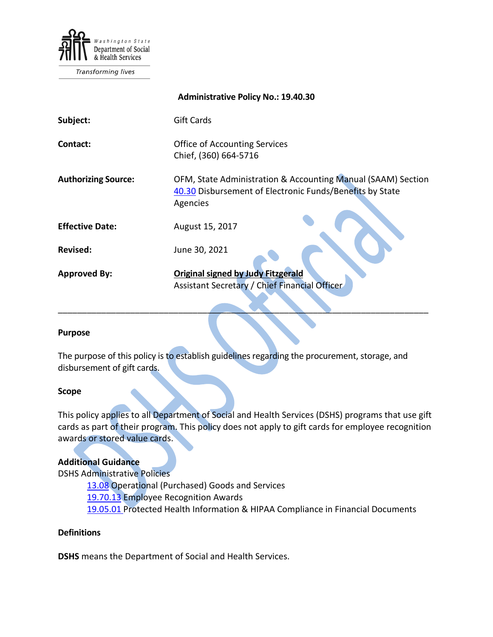

Transforming lives

|                            | <b>Administrative Policy No.: 19.40.30</b>                                                                                           |
|----------------------------|--------------------------------------------------------------------------------------------------------------------------------------|
| Subject:                   | <b>Gift Cards</b>                                                                                                                    |
| Contact:                   | <b>Office of Accounting Services</b><br>Chief, (360) 664-5716                                                                        |
| <b>Authorizing Source:</b> | OFM, State Administration & Accounting Manual (SAAM) Section<br>40.30 Disbursement of Electronic Funds/Benefits by State<br>Agencies |
| <b>Effective Date:</b>     | August 15, 2017                                                                                                                      |
| <b>Revised:</b>            | June 30, 2021                                                                                                                        |
| <b>Approved By:</b>        | <b>Original signed by Judy Fitzgerald</b><br>Assistant Secretary / Chief Financial Officer                                           |

### **Purpose**

The purpose of this policy is to establish guidelines regarding the procurement, storage, and disbursement of gift cards.

\_\_\_\_\_\_\_\_\_\_\_\_\_\_\_\_\_\_\_\_\_\_\_\_\_\_\_\_\_\_\_\_\_\_\_\_\_\_\_\_\_\_\_\_\_\_\_\_\_\_\_\_\_\_\_\_\_\_\_\_\_\_\_\_\_\_\_\_\_\_\_\_\_\_\_\_\_

#### **Scope**

This policy applies to all Department of Social and Health Services (DSHS) programs that use gift cards as part of their program. This policy does not apply to gift cards for employee recognition awards or stored value cards.

## **Additional Guidance**

DSHS Administrative Policies

[13.08](http://one.dshs.wa.lcl/Policies/Administrative/DSHS-AP-13-08.pdf) Operational (Purchased) Goods and Services [19.70.13](http://one.dshs.wa.lcl/Policies/Administrative/DSHS-AP-19-70-13.pdf) Employee Recognition Awards [19.05.01](http://one.dshs.wa.lcl/Policies/Administrative/DSHS-AP-19-05-01.pdf) Protected Health Information & HIPAA Compliance in Financial Documents

## **Definitions**

**DSHS** means the Department of Social and Health Services.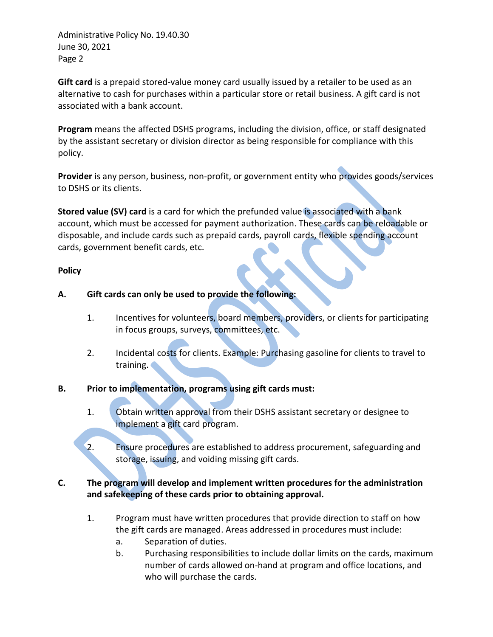Administrative Policy No. 19.40.30 June 30, 2021 Page 2

**Gift card** is a prepaid stored-value money card usually issued by a retailer to be used as an alternative to cash for purchases within a particular store or retail business. A gift card is not associated with a bank account.

**Program** means the affected DSHS programs, including the division, office, or staff designated by the assistant secretary or division director as being responsible for compliance with this policy.

**Provider** is any person, business, non-profit, or government entity who provides goods/services to DSHS or its clients.

**Stored value (SV) card** is a card for which the prefunded value is associated with a bank account, which must be accessed for payment authorization. These cards can be reloadable or disposable, and include cards such as prepaid cards, payroll cards, flexible spending account cards, government benefit cards, etc.

## **Policy**

# **A. Gift cards can only be used to provide the following:**

- 1. Incentives for volunteers, board members, providers, or clients for participating in focus groups, surveys, committees, etc.
- 2. Incidental costs for clients. Example: Purchasing gasoline for clients to travel to training.

# **B. Prior to implementation, programs using gift cards must:**

- 1. Obtain written approval from their DSHS assistant secretary or designee to implement a gift card program.
- 2. Ensure procedures are established to address procurement, safeguarding and storage, issuing, and voiding missing gift cards.

# **C. The program will develop and implement written procedures for the administration and safekeeping of these cards prior to obtaining approval.**

- 1. Program must have written procedures that provide direction to staff on how the gift cards are managed. Areas addressed in procedures must include:
	- a. Separation of duties.
	- b. Purchasing responsibilities to include dollar limits on the cards, maximum number of cards allowed on-hand at program and office locations, and who will purchase the cards.